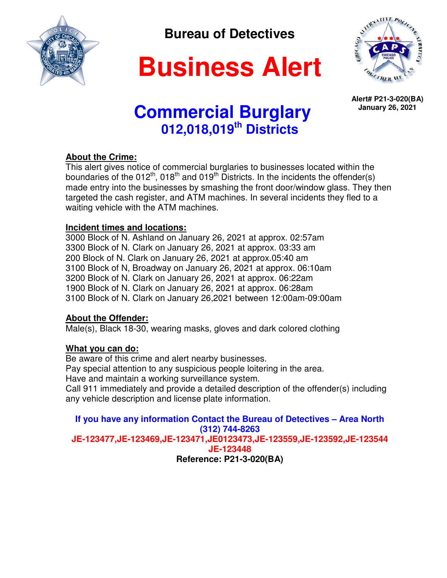

 **Bureau of Detectives** 

# **Business Alert**



**Alert# P21-3-020(BA) January 26, 2021** 

## **Commercial Burglary 012,018,019th Districts**

## **About the Crime:**

This alert gives notice of commercial burglaries to businesses located within the boundaries of the  $012^{th}$ ,  $018^{th}$  and  $019^{th}$  Districts. In the incidents the offender(s) made entry into the businesses by smashing the front door/window glass. They then targeted the cash register, and ATM machines. In several incidents they fled to a waiting vehicle with the ATM machines.

## **Incident times and locations:**

3000 Block of N. Ashland on January 26, 2021 at approx. 02:57am 3300 Block of N. Clark on January 26, 2021 at approx. 03:33 am 200 Block of N. Clark on January 26, 2021 at approx.05:40 am 3100 Block of N, Broadway on January 26, 2021 at approx. 06:10am 3200 Block of N. Clark on January 26, 2021 at approx. 06:22am 1900 Block of N. Clark on January 26, 2021 at approx. 06:28am 3100 Block of N. Clark on January 26,2021 between 12:00am-09:00am

## **About the Offender:**

Male(s), Black 18-30, wearing masks, gloves and dark colored clothing

## **What you can do:**

Be aware of this crime and alert nearby businesses. Pay special attention to any suspicious people loitering in the area. Have and maintain a working surveillance system. Call 911 immediately and provide a detailed description of the offender(s) including any vehicle description and license plate information.

**If you have any information Contact the Bureau of Detectives – Area North (312) 744-8263 JE-123477,JE-123469,JE-123471,JE0123473,JE-123559,JE-123592,JE-123544 JE-123448 Reference: P21-3-020(BA)**